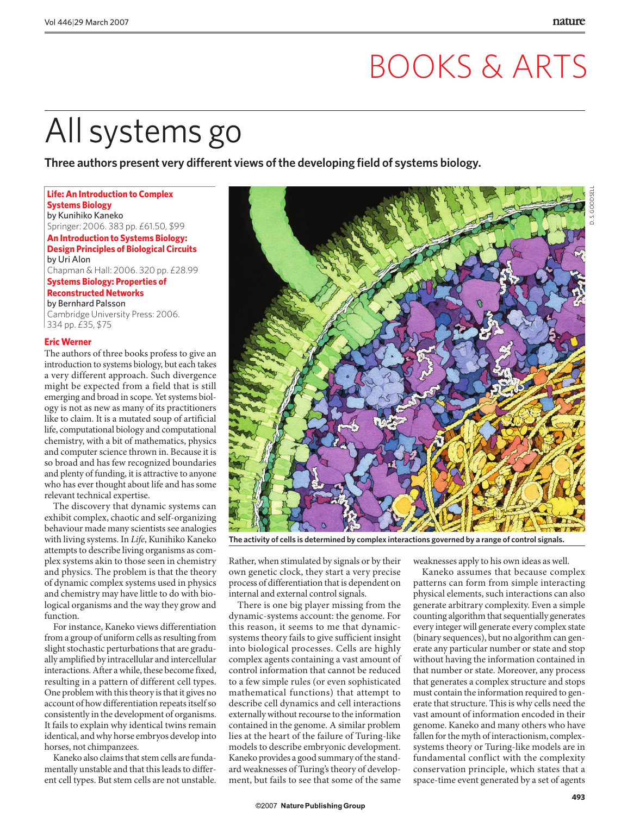## BOOKS & ARTS

# All systems go

**Three authors present very different views of the developing field of systems biology.**

#### **Life: An Introduction to Complex Systems Biology**

by Kunihiko Kaneko Springer: 2006. 383 pp. £61.50, \$99 **An Introduction to Systems Biology:** 

#### **Design Principles of Biological Circuits** by Uri Alon

Chapman & Hall: 2006. 320 pp. £28.99 **Systems Biology: Properties of** 

**Reconstructed Networks** 

by Bernhard Palsson Cambridge University Press: 2006. 334 pp. £35, \$75

#### **Eric Werner**

The authors of three books profess to give an introduction to systems biology, but each takes a very different approach. Such divergence might be expected from a field that is still emerging and broad in scope. Yet systems biology is not as new as many of its practitioners like to claim. It is a mutated soup of artificial life, computational biology and computational chemistry, with a bit of mathematics, physics and computer science thrown in. Because it is so broad and has few recognized boundaries and plenty of funding, it is attractive to anyone who has ever thought about life and has some relevant technical expertise.

The discovery that dynamic systems can exhibit complex, chaotic and self-organizing behaviour made many scientists see analogies with living systems. In *Life*, Kunihiko Kaneko attempts to describe living organisms as complex systems akin to those seen in chemistry and physics. The problem is that the theory of dynamic complex systems used in physics and chemistry may have little to do with biological organisms and the way they grow and function.

For instance, Kaneko views differentiation from a group of uniform cells as resulting from slight stochastic perturbations that are gradually amplified by intracellular and intercellular interactions. After a while, these become fixed, resulting in a pattern of different cell types. One problem with this theory is that it gives no account of how differentiation repeats itself so consistently in the development of organisms. It fails to explain why identical twins remain identical, and why horse embryos develop into horses, not chimpanzees.

Kaneko also claims that stem cells are fundamentally unstable and that this leads to different cell types. But stem cells are not unstable.



**The activity of cells is determined by complex interactions governed by a range of control signals.**

Rather, when stimulated by signals or by their own genetic clock, they start a very precise process of differentiation that is dependent on internal and external control signals.

There is one big player missing from the dynamic-systems account: the genome. For this reason, it seems to me that dynamicsystems theory fails to give sufficient insight into biological processes. Cells are highly complex agents containing a vast amount of control information that cannot be reduced to a few simple rules (or even sophisticated mathematical functions) that attempt to describe cell dynamics and cell interactions externally without recourse to the information contained in the genome. A similar problem lies at the heart of the failure of Turing-like models to describe embryonic development. Kaneko provides a good summary of the standard weaknesses of Turing's theory of development, but fails to see that some of the same

weaknesses apply to his own ideas as well.

Kaneko assumes that because complex patterns can form from simple interacting physical elements, such interactions can also generate arbitrary complexity. Even a simple counting algorithm that sequentially generates every integer will generate every complex state (binary sequences), but no algorithm can generate any particular number or state and stop without having the information contained in that number or state. Moreover, any process that generates a complex structure and stops must contain the information required to generate that structure. This is why cells need the vast amount of information encoded in their genome. Kaneko and many others who have fallen for the myth of interactionism, complexsystems theory or Turing-like models are in fundamental conflict with the complexity conservation principle, which states that a space-time event generated by a set of agents